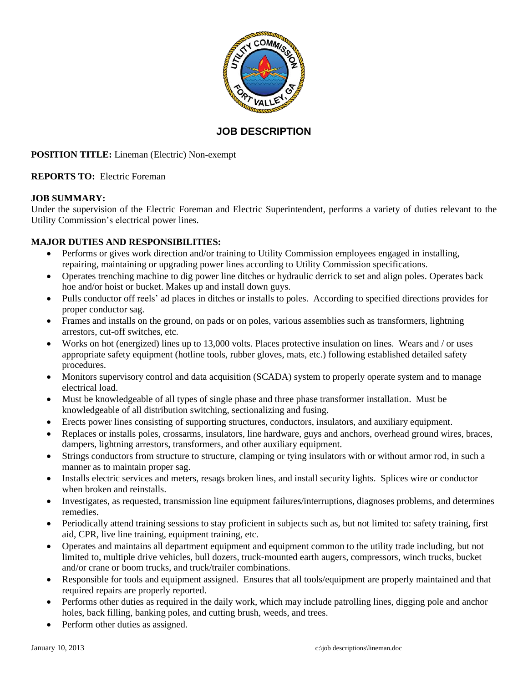

# **JOB DESCRIPTION**

# **POSITION TITLE:** Lineman (Electric) Non-exempt

## **REPORTS TO:** Electric Foreman

## **JOB SUMMARY:**

Under the supervision of the Electric Foreman and Electric Superintendent, performs a variety of duties relevant to the Utility Commission's electrical power lines.

# **MAJOR DUTIES AND RESPONSIBILITIES:**

- Performs or gives work direction and/or training to Utility Commission employees engaged in installing, repairing, maintaining or upgrading power lines according to Utility Commission specifications.
- Operates trenching machine to dig power line ditches or hydraulic derrick to set and align poles. Operates back hoe and/or hoist or bucket. Makes up and install down guys.
- Pulls conductor off reels' ad places in ditches or installs to poles. According to specified directions provides for proper conductor sag.
- Frames and installs on the ground, on pads or on poles, various assemblies such as transformers, lightning arrestors, cut-off switches, etc.
- Works on hot (energized) lines up to 13,000 volts. Places protective insulation on lines. Wears and / or uses appropriate safety equipment (hotline tools, rubber gloves, mats, etc.) following established detailed safety procedures.
- Monitors supervisory control and data acquisition (SCADA) system to properly operate system and to manage electrical load.
- Must be knowledgeable of all types of single phase and three phase transformer installation. Must be knowledgeable of all distribution switching, sectionalizing and fusing.
- Erects power lines consisting of supporting structures, conductors, insulators, and auxiliary equipment.
- Replaces or installs poles, crossarms, insulators, line hardware, guys and anchors, overhead ground wires, braces, dampers, lightning arrestors, transformers, and other auxiliary equipment.
- Strings conductors from structure to structure, clamping or tying insulators with or without armor rod, in such a manner as to maintain proper sag.
- Installs electric services and meters, resags broken lines, and install security lights. Splices wire or conductor when broken and reinstalls.
- Investigates, as requested, transmission line equipment failures/interruptions, diagnoses problems, and determines remedies.
- Periodically attend training sessions to stay proficient in subjects such as, but not limited to: safety training, first aid, CPR, live line training, equipment training, etc.
- Operates and maintains all department equipment and equipment common to the utility trade including, but not limited to, multiple drive vehicles, bull dozers, truck-mounted earth augers, compressors, winch trucks, bucket and/or crane or boom trucks, and truck/trailer combinations.
- Responsible for tools and equipment assigned. Ensures that all tools/equipment are properly maintained and that required repairs are properly reported.
- Performs other duties as required in the daily work, which may include patrolling lines, digging pole and anchor holes, back filling, banking poles, and cutting brush, weeds, and trees.
- Perform other duties as assigned.